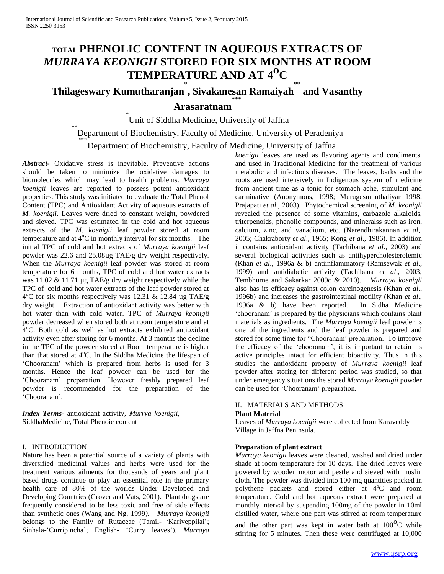# **TOTAL PHENOLIC CONTENT IN AQUEOUS EXTRACTS OF**  *MURRAYA KEONIGII* **STORED FOR SIX MONTHS AT ROOM TEMPERATURE AND AT 4<sup>O</sup>C**

# **Thilageswary Kumutharanjan \* , Sivakanesan Ramaiyah \*\* and Vasanthy \*\*\***

# **Arasaratnam**

\* Unit of Siddha Medicine, University of Jaffna

# \*\*<br>
Department of Biochemistry, Faculty of Medicine, University of Peradeniya

# \*\*\*<br>
Department of Biochemistry, Faculty of Medicine, University of Jaffna

*Abstract***-** Oxidative stress is inevitable. Preventive actions should be taken to minimize the oxidative damages to biomolecules which may lead to health problems. *Murraya koenigii* leaves are reported to possess potent antioxidant properties. This study was initiated to evaluate the Total Phenol Content (TPC) and Antioxidant Activity of aqueous extracts of *M. koenigii*. Leaves were dried to constant weight, powdered and sieved. TPC was estimated in the cold and hot aqueous extracts of the *M. koenigii* leaf powder stored at room temperature and at  $4^{\circ}$ C in monthly interval for six months. The initial TPC of cold and hot extracts of *Murraya koenigii* leaf powder was 22.6 and 25.08µg TAE/g dry weight respectively. When the *Murraya koenigii* leaf powder was stored at room temperature for 6 months, TPC of cold and hot water extracts was 11.02 & 11.71 µg TAE/g dry weight respectively while the TPC of cold and hot water extracts of the leaf powder stored at  $4^{\circ}$ C for six months respectively was 12.31 & 12.84 µg TAE/g dry weight. Extraction of antioxidant activity was better with hot water than with cold water. TPC of *Murraya keonigii*  powder decreased when stored both at room temperature and at 4<sup>o</sup>C. Both cold as well as hot extracts exhibited antioxidant activity even after storing for 6 months. At 3 months the decline in the TPC of the powder stored at Room temperature is higher than that stored at  $4^{\circ}$ C. In the Siddha Medicine the lifespan of 'Chooranam' which is prepared from herbs is used for 3 months. Hence the leaf powder can be used for the 'Chooranam' preparation. However freshly prepared leaf powder is recommended for the preparation of the 'Chooranam'.

*Index Terms*- antioxidant activity, *Murrya koenigii,* SiddhaMedicine, Total Phenoic content

### I. INTRODUCTION

Nature has been a potential source of a variety of plants with diversified medicinal values and herbs were used for the treatment various ailments for thousands of years and plant based drugs continue to play an essential role in the primary health care of 80% of the worlds Under Developed and Developing Countries (Grover and Vats, 2001). Plant drugs are frequently considered to be less toxic and free of side effects than synthetic ones (Wang and Ng, 1999*). Murraya keonigii*  belongs to the Family of Rutaceae (Tamil- 'Kariveppilai'; Sinhala-'Curripincha'; English- 'Curry leaves'). *Murraya* 

*koenigii* leaves are used as flavoring agents and condiments, and used in Traditional Medicine for the treatment of various metabolic and infectious diseases. The leaves, barks and the roots are used intensively in Indigenous system of medicine from ancient time as a tonic for stomach ache, stimulant and carminative (Anonymous, 1998; Murugesumuthaliyar 1998; Prajapati *et al*., 2003). Phytochemical screening of *M. keonigii*  revealed the presence of some vitamins, carbazole alkaloids, triterpenoids, phenolic compounds, and mineralss such as iron, calcium, zinc, and vanadium, etc. (Narendhirakannan *et al*,. 2005; Chakraborty *et al*., 1965; Kong *et al*., 1986). In addition it contains antioxidant activity (Tachibana *et al*., 2003) and several biological activities such as antihypercholesterolemic (Khan *et al*., 1996a & b) antiinflammatory (Ramsewak *et al*., 1999) and antidiabetic activity (Tachibana *et al*., 2003; Tembhurne and Sakarkar 2009c & 2010). *Murraya koenigii*  also has its efficacy against colon carcinogenesis (Khan *et al*., 1996b) and increases the gastrointestinal motility (Khan *et al*., 1996a & b) have been reported. In Sidha Medicine 'chooranam' is prepared by the physicians which contains plant materials as ingredients. The *Murraya koenigii* leaf powder is one of the ingredients and the leaf powder is prepared and stored for some time for "Chooranam' preparation. To improve the efficacy of the 'chooranam', it is important to retain its active principles intact for efficient bioactivity. Thus in this studies the antioxidant property of *Murraya koenigii* leaf powder after storing for different period was studied, so that under emergency situations the stored *Murraya koenigii* powder can be used for 'Chooranam' preparation.

# II. MATERIALS AND METHODS

## **Plant Material**

Leaves of *Murraya koenigii* were collected from Karaveddy Village in Jaffna Peninsula.

#### **Preparation of plant extract**

*Murraya keonigii* leaves were cleaned, washed and dried under shade at room temperature for 10 days. The dried leaves were powered by wooden motor and pestle and sieved with muslin cloth. The powder was divided into 100 mg quantities packed in polythene packets and stored either at 4<sup>o</sup>C and room temperature. Cold and hot aqueous extract were prepared at monthly interval by suspending 100mg of the powder in 10ml distilled water, where one part was stirred at room temperature

and the other part was kept in water bath at  $100^{\circ}$ C while stirring for 5 minutes. Then these were centrifuged at 10,000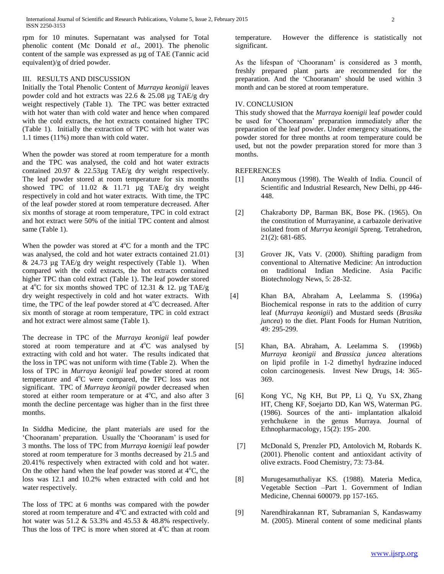rpm for 10 minutes. Supernatant was analysed for Total phenolic content (Mc Donald *et al*., 2001). The phenolic content of the sample was expressed as µg of TAE (Tannic acid equivalent)/g of dried powder.

### III. RESULTS AND DISCUSSION

Initially the Total Phenolic Content of *Murraya keonigii* leaves powder cold and hot extracts was 22.6  $& 25.08 \mu g \text{ TAE/g}$  dry weight respectively (Table 1). The TPC was better extracted with hot water than with cold water and hence when compared with the cold extracts, the hot extracts contained higher TPC (Table 1). Initially the extraction of TPC with hot water was 1.1 times (11%) more than with cold water.

When the powder was stored at room temperature for a month and the TPC was analysed, the cold and hot water extracts contained 20.97 & 22.53µg TAE/g dry weight respectively. The leaf powder stored at room temperature for six months showed TPC of 11.02 & 11.71 µg TAE/g dry weight respectively in cold and hot water extracts. With time, the TPC of the leaf powder stored at room temperature decreased. After six months of storage at room temperature, TPC in cold extract and hot extract were 50% of the initial TPC content and almost same (Table 1).

When the powder was stored at  $4^{\circ}$ C for a month and the TPC was analysed, the cold and hot water extracts contained 21.01)  $& 24.73 \mu$ g TAE/g dry weight respectively (Table 1). When compared with the cold extracts, the hot extracts contained higher TPC than cold extract (Table 1). The leaf powder stored at  $4^{\circ}$ C for six months showed TPC of 12.31 & 12. µg TAE/g dry weight respectively in cold and hot water extracts. With time, the TPC of the leaf powder stored at  $4^{\circ}$ C decreased. After six month of storage at room temperature, TPC in cold extract and hot extract were almost same (Table 1).

The decrease in TPC of the *Murraya keonigii* leaf powder stored at room temperature and at  $4^{\circ}$ C was analysed by extracting with cold and hot water. The results indicated that the loss in TPC was not uniform with time (Table 2). When the loss of TPC in *Murraya keonigii* leaf powder stored at room temperature and 4°C were compared, the TPC loss was not significant. TPC of *Murraya keonigii* powder decreased when stored at either room temperature or at  $4^{\circ}$ C, and also after 3 month the decline percentage was higher than in the first three months.

In Siddha Medicine, the plant materials are used for the 'Chooranam' preparation. Usually the 'Chooranam' is used for 3 months. The loss of TPC from *Murraya koenigii* leaf powder stored at room temperature for 3 months decreased by 21.5 and 20.41% respectively when extracted with cold and hot water. On the other hand when the leaf powder was stored at  $4^{\circ}$ C, the loss was 12.1 and 10.2% when extracted with cold and hot water respectively.

The loss of TPC at 6 months was compared with the powder stored at room temperature and  $4^{\circ}$ C and extracted with cold and hot water was 51.2 & 53.3% and 45.53 & 48.8% respectively. Thus the loss of TPC is more when stored at  $4^{\circ}$ C than at room

temperature. However the difference is statistically not significant.

As the lifespan of 'Chooranam' is considered as 3 month, freshly prepared plant parts are recommended for the preparation. And the 'Chooranam' should be used within 3 month and can be stored at room temperature.

## IV. CONCLUSION

This study showed that the *Murraya koenigii* leaf powder could be used for 'Chooranam' preparation immediately after the preparation of the leaf powder. Under emergency situations, the powder stored for three months at room temperature could be used, but not the powder preparation stored for more than 3 months.

### REFERENCES

- [1] Anonymous (1998). The Wealth of India. Council of Scientific and Industrial Research, New Delhi, pp 446- 448.
- [2] Chakraborty DP, Barman BK, Bose PK. (1965). On the constitution of Murrayanine, a carbazole derivative isolated from of *Murrya keonigii* Spreng. Tetrahedron, 21(2): 681-685.
- [3] Grover JK, Vats V. (2000). Shifting paradigm from conventional to Alternative Medicine: An introduction on traditional Indian Medicine. Asia Pacific Biotechnology News, 5: 28-32.
- [4] Khan BA, Abraham A, Leelamma S. (1996a) Biochemical response in rats to the addition of curry leaf (*Murraya keonigii*) and Mustard seeds (*Brasika juncea*) to the diet. Plant Foods for Human Nutrition, 49: 295-299.
- [5] Khan, BA. Abraham, A. Leelamma S. (1996b) *Murraya keonigii* and *Brassica juncea* alterations on lipid profile in 1-2 dimethyl hydrazine induced colon carcinogenesis. Invest New Drugs, 14: 365- 369.
- [6] Kong YC, Ng KH, But PP, Li Q, [Yu SX,](http://www.ncbi.nlm.nih.gov/pubmed/?term=Yu%20SX%5BAuthor%5D&cauthor=true&cauthor_uid=3713232) [Zhang](http://www.ncbi.nlm.nih.gov/pubmed/?term=Zhang%20HT%5BAuthor%5D&cauthor=true&cauthor_uid=3713232)  [HT,](http://www.ncbi.nlm.nih.gov/pubmed/?term=Zhang%20HT%5BAuthor%5D&cauthor=true&cauthor_uid=3713232) [Cheng KF,](http://www.ncbi.nlm.nih.gov/pubmed/?term=Cheng%20KF%5BAuthor%5D&cauthor=true&cauthor_uid=3713232) [Soejarto DD,](http://www.ncbi.nlm.nih.gov/pubmed/?term=Soejarto%20DD%5BAuthor%5D&cauthor=true&cauthor_uid=3713232) [Kan WS,](http://www.ncbi.nlm.nih.gov/pubmed/?term=Kan%20WS%5BAuthor%5D&cauthor=true&cauthor_uid=3713232) [Waterman PG.](http://www.ncbi.nlm.nih.gov/pubmed/?term=Waterman%20PG%5BAuthor%5D&cauthor=true&cauthor_uid=3713232) (1986). Sources of the anti- implantation alkaloid yerhchukene in the genus Murraya. Journal of Ethnopharmacology, 15(2): 195- 200.
- [7] McDonald S, Prenzler PD, Antolovich M, Robards K. (2001). Phenolic content and antioxidant activity of olive extracts. Food Chemistry, 73: 73-84.
- [8] Murugesamuthaliyar KS. (1988). Materia Medica, Vegetable Section –Part 1. Government of Indian Medicine, Chennai 600079. pp 157-165.
- [9] Narendhirakannan RT, Subramanian S, Kandaswamy M. (2005). Mineral content of some medicinal plants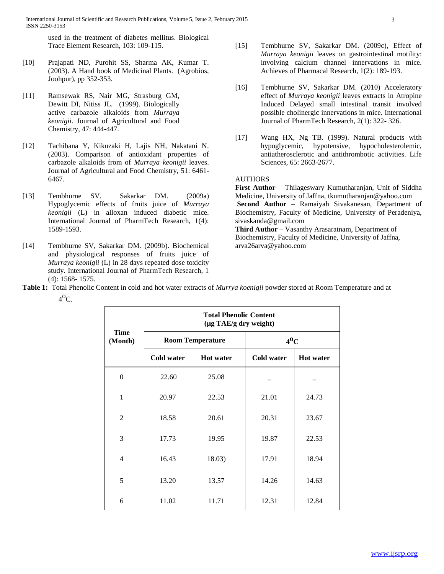International Journal of Scientific and Research Publications, Volume 5, Issue 2, February 2015 ISSN 2250-3153

used in the treatment of diabetes mellitus. Biological Trace Element Research, 103: 109-115.

- [10] Prajapati ND, Purohit SS, Sharma AK, Kumar T. (2003). A Hand book of Medicinal Plants. (Agrobios, Joohpur), pp 352-353.
- [11] Ramsewak RS, Nair MG, Strasburg GM, Dewitt DI, Nitiss JL. (1999). Biologically active carbazole alkaloids from *Murraya keonigii*. Journal of Agricultural and Food Chemistry, 47: 444-447.
- [12] Tachibana Y, Kikuzaki H, Lajis NH, Nakatani N. (2003). Comparison of antioxidant properties of carbazole alkaloids from of *Murraya keonigii* leaves. Journal of Agricultural and Food Chemistry, 51: 6461- 6467.
- [13] Tembhurne SV. Sakarkar DM. (2009a) Hypoglycemic effects of fruits juice of *Murraya keonigii* (L) in alloxan induced diabetic mice. International Journal of PharmTech Research, 1(4): 1589-1593.
- [14] Tembhurne SV, Sakarkar DM. (2009b). Biochemical and physiological responses of fruits juice of *Murraya keonigii* (L) in 28 days repeated dose toxicity study. International Journal of PharmTech Research, 1 (4): 1568- 1575.
- [15] Tembhurne SV, Sakarkar DM. (2009c), Effect of *Murraya keonigii* leaves on gastrointestinal motility: involving calcium channel innervations in mice. Achieves of Pharmacal Research, 1(2): 189-193.
- [16] Tembhurne SV, Sakarkar DM. (2010) Acceleratory effect of *Murraya keonigii* leaves extracts in Atropine Induced Delayed small intestinal transit involved possible cholinergic innervations in mice. International Journal of PharmTech Research, 2(1): 322- 326.
- [17] Wang HX, Ng TB. (1999). Natural products with hypoglycemic, hypotensive, hypocholesterolemic, antiatherosclerotic and antithrombotic activities. Life Sciences, 65: 2663-2677.

## AUTHORS

**First Author** – Thilageswary Kumutharanjan, Unit of Siddha Medicine, University of Jaffna, [tkumutharanjan@yahoo.com](mailto:tkumutharanjan@yahoo.com) **Second Author** – Ramaiyah Sivakanesan, Department of Biochemistry, Faculty of Medicine, University of Peradeniya[,](mailto:sivaskanda@gmail.com) [sivaskanda@gmail.com](mailto:sivaskanda@gmail.com) **Third Author** – Vasanthy Arasaratnam, Department of Biochemistry, Faculty of Medicine, University of Jaffna[,](mailto:arva26arva@yahoo.com) [arva26arva@yahoo.com](mailto:arva26arva@yahoo.com)

**Table 1:** Total Phenolic Content in cold and hot water extracts of *Murrya koenigii* powder stored at Room Temperature and at  $4^{\circ}$ C.

| <b>Time</b><br>(Month) | <b>Total Phenolic Content</b><br>(µg TAE/g dry weight) |                         |                   |                  |  |  |  |
|------------------------|--------------------------------------------------------|-------------------------|-------------------|------------------|--|--|--|
|                        |                                                        | <b>Room Temperature</b> | $4^0C$            |                  |  |  |  |
|                        | <b>Cold water</b>                                      | <b>Hot</b> water        | <b>Cold water</b> | <b>Hot</b> water |  |  |  |
| $\overline{0}$         | 22.60                                                  | 25.08                   |                   |                  |  |  |  |
| 1                      | 20.97                                                  | 22.53                   | 21.01             | 24.73            |  |  |  |
| $\overline{2}$         | 18.58                                                  | 20.61                   | 20.31             | 23.67            |  |  |  |
| 3                      | 17.73                                                  | 19.95                   | 19.87             | 22.53            |  |  |  |
| 4                      | 16.43                                                  | 18.03)                  | 17.91             | 18.94            |  |  |  |
| 5                      | 13.20                                                  | 13.57                   | 14.26             | 14.63            |  |  |  |
| 6                      | 11.02                                                  | 11.71                   | 12.31             | 12.84            |  |  |  |